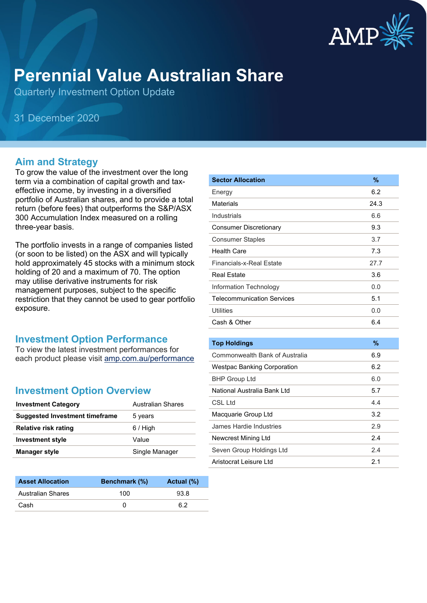

# **Perennial Value Australian Share**

Quarterly Investment Option Update

31 December 2020

### **Aim and Strategy**

To grow the value of the investment over the long term via a combination of capital growth and taxeffective income, by investing in a diversified portfolio of Australian shares, and to provide a total return (before fees) that outperforms the S&P/ASX 300 Accumulation Index measured on a rolling three-year basis.

The portfolio invests in a range of companies listed (or soon to be listed) on the ASX and will typically hold approximately 45 stocks with a minimum stock holding of 20 and a maximum of 70. The option may utilise derivative instruments for risk management purposes, subject to the specific restriction that they cannot be used to gear portfolio exposure.

#### **Investment Option Performance**

To view the latest investment performances for each product please visit [amp.com.au/performance](https://www.amp.com.au/performance)

#### **Investment Option Overview**

| <b>Investment Category</b>            | <b>Australian Shares</b> |
|---------------------------------------|--------------------------|
| <b>Suggested Investment timeframe</b> | 5 years                  |
| <b>Relative risk rating</b>           | $6/$ High                |
| <b>Investment style</b>               | Value                    |
| <b>Manager style</b>                  | Single Manager           |
|                                       |                          |

| <b>Asset Allocation</b> | <b>Benchmark</b> (%) | Actual (%) |
|-------------------------|----------------------|------------|
| Australian Shares       | 100                  | 93.8       |
| Cash                    |                      | հ 2        |

| <b>Sector Allocation</b>           | $\%$          |
|------------------------------------|---------------|
| Energy                             | 6.2           |
| <b>Materials</b>                   | 24.3          |
| Industrials                        | 6.6           |
| <b>Consumer Discretionary</b>      | 9.3           |
| <b>Consumer Staples</b>            | 3.7           |
| <b>Health Care</b>                 | 7.3           |
| <b>Financials-x-Real Estate</b>    | 27.7          |
| <b>Real Estate</b>                 | 3.6           |
| Information Technology             | 0.0           |
| <b>Telecommunication Services</b>  | 5.1           |
| <b>Utilities</b>                   | 0.0           |
| Cash & Other                       | 6.4           |
|                                    |               |
| <b>Top Holdings</b>                | $\frac{9}{6}$ |
| Commonwealth Bank of Australia     | 6.9           |
| <b>Westpac Banking Corporation</b> | 6.2           |
| <b>BHP Group Ltd</b>               | 6.0           |
| National Australia Bank Ltd        | 5.7           |
| <b>CSL Ltd</b>                     | 4.4           |
| Macquarie Group Ltd                | 3.2           |
| James Hardie Industries            | 2.9           |
| Newcrest Mining Ltd                | 2.4           |
| Seven Group Holdings Ltd           | 2.4           |
| Aristocrat Leisure Ltd             | 2.1           |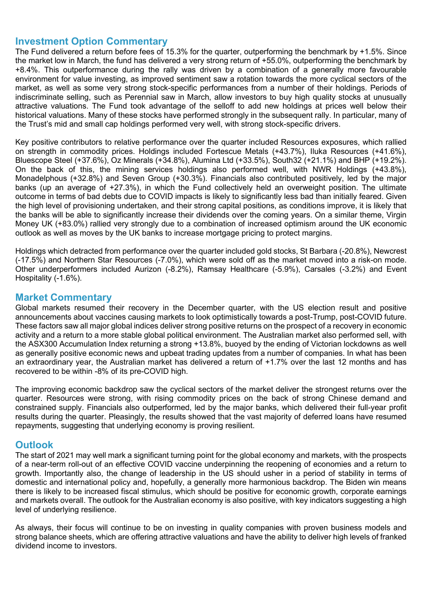#### **Investment Option Commentary**

The Fund delivered a return before fees of 15.3% for the quarter, outperforming the benchmark by +1.5%. Since the market low in March, the fund has delivered a very strong return of +55.0%, outperforming the benchmark by +8.4%. This outperformance during the rally was driven by a combination of a generally more favourable environment for value investing, as improved sentiment saw a rotation towards the more cyclical sectors of the market, as well as some very strong stock-specific performances from a number of their holdings. Periods of indiscriminate selling, such as Perennial saw in March, allow investors to buy high quality stocks at unusually attractive valuations. The Fund took advantage of the selloff to add new holdings at prices well below their historical valuations. Many of these stocks have performed strongly in the subsequent rally. In particular, many of the Trust's mid and small cap holdings performed very well, with strong stock-specific drivers.

Key positive contributors to relative performance over the quarter included Resources exposures, which rallied on strength in commodity prices. Holdings included Fortescue Metals (+43.7%), Iluka Resources (+41.6%), Bluescope Steel (+37.6%), Oz Minerals (+34.8%), Alumina Ltd (+33.5%), South32 (+21.1%) and BHP (+19.2%). On the back of this, the mining services holdings also performed well, with NWR Holdings (+43.8%), Monadelphous (+32.8%) and Seven Group (+30.3%). Financials also contributed positively, led by the major banks (up an average of +27.3%), in which the Fund collectively held an overweight position. The ultimate outcome in terms of bad debts due to COVID impacts is likely to significantly less bad than initially feared. Given the high level of provisioning undertaken, and their strong capital positions, as conditions improve, it is likely that the banks will be able to significantly increase their dividends over the coming years. On a similar theme, Virgin Money UK (+83.0%) rallied very strongly due to a combination of increased optimism around the UK economic outlook as well as moves by the UK banks to increase mortgage pricing to protect margins.

Holdings which detracted from performance over the quarter included gold stocks, St Barbara (-20.8%), Newcrest (-17.5%) and Northern Star Resources (-7.0%), which were sold off as the market moved into a risk-on mode. Other underperformers included Aurizon (-8.2%), Ramsay Healthcare (-5.9%), Carsales (-3.2%) and Event Hospitality (-1.6%).

### **Market Commentary**

Global markets resumed their recovery in the December quarter, with the US election result and positive announcements about vaccines causing markets to look optimistically towards a post-Trump, post-COVID future. These factors saw all major global indices deliver strong positive returns on the prospect of a recovery in economic activity and a return to a more stable global political environment. The Australian market also performed sell, with the ASX300 Accumulation Index returning a strong +13.8%, buoyed by the ending of Victorian lockdowns as well as generally positive economic news and upbeat trading updates from a number of companies. In what has been an extraordinary year, the Australian market has delivered a return of +1.7% over the last 12 months and has recovered to be within -8% of its pre-COVID high.

The improving economic backdrop saw the cyclical sectors of the market deliver the strongest returns over the quarter. Resources were strong, with rising commodity prices on the back of strong Chinese demand and constrained supply. Financials also outperformed, led by the major banks, which delivered their full-year profit results during the quarter. Pleasingly, the results showed that the vast majority of deferred loans have resumed repayments, suggesting that underlying economy is proving resilient.

#### **Outlook**

The start of 2021 may well mark a significant turning point for the global economy and markets, with the prospects of a near-term roll-out of an effective COVID vaccine underpinning the reopening of economies and a return to growth. Importantly also, the change of leadership in the US should usher in a period of stability in terms of domestic and international policy and, hopefully, a generally more harmonious backdrop. The Biden win means there is likely to be increased fiscal stimulus, which should be positive for economic growth, corporate earnings and markets overall. The outlook for the Australian economy is also positive, with key indicators suggesting a high level of underlying resilience.

As always, their focus will continue to be on investing in quality companies with proven business models and strong balance sheets, which are offering attractive valuations and have the ability to deliver high levels of franked dividend income to investors.